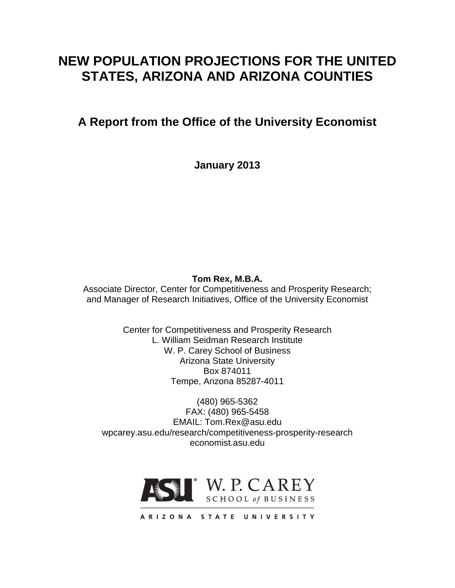# **NEW POPULATION PROJECTIONS FOR THE UNITED STATES, ARIZONA AND ARIZONA COUNTIES**

# **A Report from the Office of the University Economist**

**January 2013**

## **Tom Rex, M.B.A.**

Associate Director, Center for Competitiveness and Prosperity Research; and Manager of Research Initiatives, Office of the University Economist

> Center for Competitiveness and Prosperity Research L. William Seidman Research Institute W. P. Carey School of Business Arizona State University Box 874011 Tempe, Arizona 85287-4011

(480) 965-5362 FAX: (480) 965-5458 EMAIL: Tom.Rex@asu.edu wpcarey.asu.edu/research/competitiveness-prosperity-research economist.asu.edu

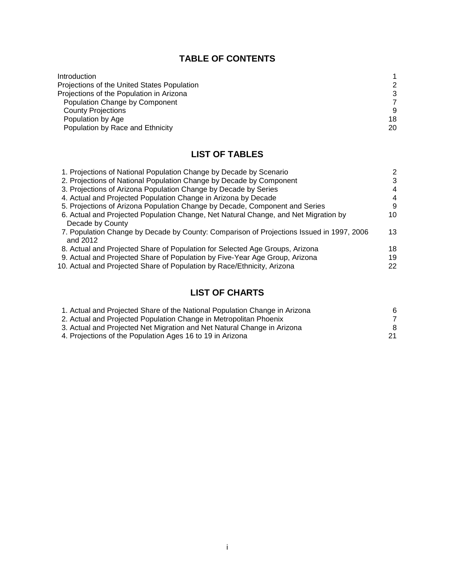## **TABLE OF CONTENTS**

| Introduction                                |    |
|---------------------------------------------|----|
| Projections of the United States Population | 2  |
| Projections of the Population in Arizona    | 3  |
| Population Change by Component              |    |
| <b>County Projections</b>                   | 9  |
| Population by Age                           | 18 |
| Population by Race and Ethnicity            | 20 |

## **LIST OF TABLES**

| 1. Projections of National Population Change by Decade by Scenario                       | 2  |
|------------------------------------------------------------------------------------------|----|
| 2. Projections of National Population Change by Decade by Component                      | 3  |
| 3. Projections of Arizona Population Change by Decade by Series                          | 4  |
| 4. Actual and Projected Population Change in Arizona by Decade                           | 4  |
| 5. Projections of Arizona Population Change by Decade, Component and Series              | 9  |
| 6. Actual and Projected Population Change, Net Natural Change, and Net Migration by      | 10 |
| Decade by County                                                                         |    |
| 7. Population Change by Decade by County: Comparison of Projections Issued in 1997, 2006 | 13 |
| and 2012                                                                                 |    |
| 8. Actual and Projected Share of Population for Selected Age Groups, Arizona             | 18 |
| 9. Actual and Projected Share of Population by Five-Year Age Group, Arizona              | 19 |
| 10. Actual and Projected Share of Population by Race/Ethnicity, Arizona                  | 22 |
|                                                                                          |    |

## **LIST OF CHARTS**

| 1. Actual and Projected Share of the National Population Change in Arizona | 6  |
|----------------------------------------------------------------------------|----|
| 2. Actual and Projected Population Change in Metropolitan Phoenix          |    |
| 3. Actual and Projected Net Migration and Net Natural Change in Arizona    | 8  |
| 4. Projections of the Population Ages 16 to 19 in Arizona                  | 21 |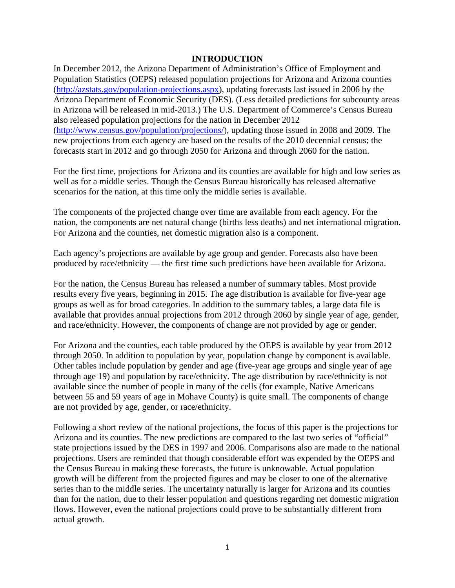#### **INTRODUCTION**

In December 2012, the Arizona Department of Administration's Office of Employment and Population Statistics (OEPS) released population projections for Arizona and Arizona counties [\(http://azstats.gov/population-projections.aspx\)](http://azstats.gov/population-projections.aspx), updating forecasts last issued in 2006 by the Arizona Department of Economic Security (DES). (Less detailed predictions for subcounty areas in Arizona will be released in mid-2013.) The U.S. Department of Commerce's Census Bureau also released population projections for the nation in December 2012 [\(http://www.census.gov/population/projections/\)](http://www.census.gov/population/projections/), updating those issued in 2008 and 2009. The new projections from each agency are based on the results of the 2010 decennial census; the forecasts start in 2012 and go through 2050 for Arizona and through 2060 for the nation.

For the first time, projections for Arizona and its counties are available for high and low series as well as for a middle series. Though the Census Bureau historically has released alternative scenarios for the nation, at this time only the middle series is available.

The components of the projected change over time are available from each agency. For the nation, the components are net natural change (births less deaths) and net international migration. For Arizona and the counties, net domestic migration also is a component.

Each agency's projections are available by age group and gender. Forecasts also have been produced by race/ethnicity — the first time such predictions have been available for Arizona.

For the nation, the Census Bureau has released a number of summary tables. Most provide results every five years, beginning in 2015. The age distribution is available for five-year age groups as well as for broad categories. In addition to the summary tables, a large data file is available that provides annual projections from 2012 through 2060 by single year of age, gender, and race/ethnicity. However, the components of change are not provided by age or gender.

For Arizona and the counties, each table produced by the OEPS is available by year from 2012 through 2050. In addition to population by year, population change by component is available. Other tables include population by gender and age (five-year age groups and single year of age through age 19) and population by race/ethnicity. The age distribution by race/ethnicity is not available since the number of people in many of the cells (for example, Native Americans between 55 and 59 years of age in Mohave County) is quite small. The components of change are not provided by age, gender, or race/ethnicity.

Following a short review of the national projections, the focus of this paper is the projections for Arizona and its counties. The new predictions are compared to the last two series of "official" state projections issued by the DES in 1997 and 2006. Comparisons also are made to the national projections. Users are reminded that though considerable effort was expended by the OEPS and the Census Bureau in making these forecasts, the future is unknowable. Actual population growth will be different from the projected figures and may be closer to one of the alternative series than to the middle series. The uncertainty naturally is larger for Arizona and its counties than for the nation, due to their lesser population and questions regarding net domestic migration flows. However, even the national projections could prove to be substantially different from actual growth.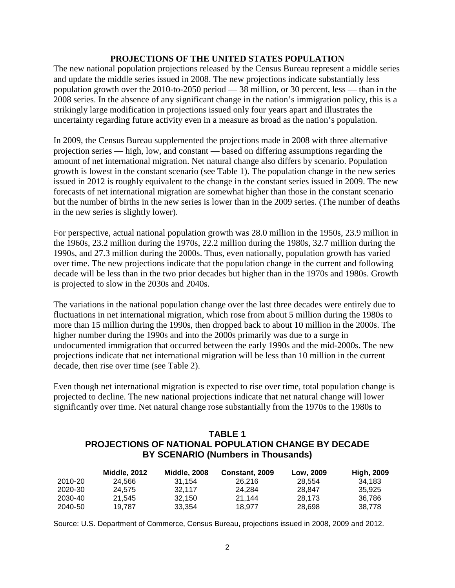#### **PROJECTIONS OF THE UNITED STATES POPULATION**

The new national population projections released by the Census Bureau represent a middle series and update the middle series issued in 2008. The new projections indicate substantially less population growth over the 2010-to-2050 period — 38 million, or 30 percent, less — than in the 2008 series. In the absence of any significant change in the nation's immigration policy, this is a strikingly large modification in projections issued only four years apart and illustrates the uncertainty regarding future activity even in a measure as broad as the nation's population.

In 2009, the Census Bureau supplemented the projections made in 2008 with three alternative projection series — high, low, and constant — based on differing assumptions regarding the amount of net international migration. Net natural change also differs by scenario. Population growth is lowest in the constant scenario (see Table 1). The population change in the new series issued in 2012 is roughly equivalent to the change in the constant series issued in 2009. The new forecasts of net international migration are somewhat higher than those in the constant scenario but the number of births in the new series is lower than in the 2009 series. (The number of deaths in the new series is slightly lower).

For perspective, actual national population growth was 28.0 million in the 1950s, 23.9 million in the 1960s, 23.2 million during the 1970s, 22.2 million during the 1980s, 32.7 million during the 1990s, and 27.3 million during the 2000s. Thus, even nationally, population growth has varied over time. The new projections indicate that the population change in the current and following decade will be less than in the two prior decades but higher than in the 1970s and 1980s. Growth is projected to slow in the 2030s and 2040s.

The variations in the national population change over the last three decades were entirely due to fluctuations in net international migration, which rose from about 5 million during the 1980s to more than 15 million during the 1990s, then dropped back to about 10 million in the 2000s. The higher number during the 1990s and into the 2000s primarily was due to a surge in undocumented immigration that occurred between the early 1990s and the mid-2000s. The new projections indicate that net international migration will be less than 10 million in the current decade, then rise over time (see Table 2).

Even though net international migration is expected to rise over time, total population change is projected to decline. The new national projections indicate that net natural change will lower significantly over time. Net natural change rose substantially from the 1970s to the 1980s to

## **TABLE 1 PROJECTIONS OF NATIONAL POPULATION CHANGE BY DECADE BY SCENARIO (Numbers in Thousands)**

|         | <b>Middle, 2012</b> | <b>Middle, 2008</b> | Constant, 2009 | Low, 2009 | <b>High, 2009</b> |
|---------|---------------------|---------------------|----------------|-----------|-------------------|
| 2010-20 | 24.566              | 31.154              | 26.216         | 28.554    | 34.183            |
| 2020-30 | 24.575              | 32.117              | 24.284         | 28.847    | 35.925            |
| 2030-40 | 21.545              | 32.150              | 21.144         | 28.173    | 36.786            |
| 2040-50 | 19.787              | 33.354              | 18.977         | 28.698    | 38.778            |

Source: U.S. Department of Commerce, Census Bureau, projections issued in 2008, 2009 and 2012.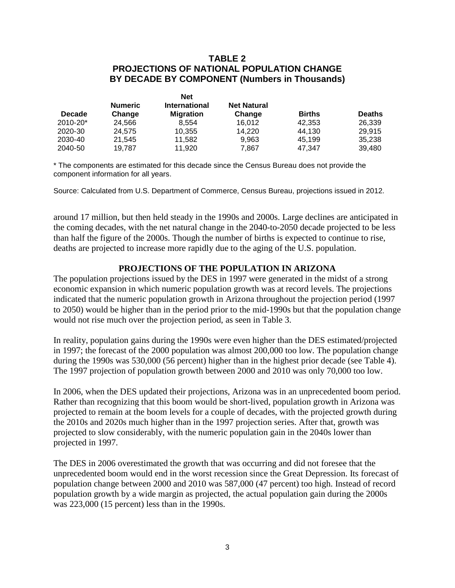## **TABLE 2 PROJECTIONS OF NATIONAL POPULATION CHANGE BY DECADE BY COMPONENT (Numbers in Thousands)**

|                          | Net                  |                              |               |               |
|--------------------------|----------------------|------------------------------|---------------|---------------|
| <b>Numeric</b><br>Change | <b>International</b> | <b>Net Natural</b><br>Change | <b>Births</b> | <b>Deaths</b> |
| 24,566                   | 8.554                | 16.012                       | 42,353        | 26,339        |
| 24.575                   | 10,355               | 14.220                       | 44.130        | 29.915        |
| 21.545                   | 11,582               | 9,963                        | 45.199        | 35.238        |
| 19.787                   | 11.920               | 7,867                        | 47.347        | 39.480        |
|                          |                      | <b>Migration</b>             |               |               |

\* The components are estimated for this decade since the Census Bureau does not provide the component information for all years.

Source: Calculated from U.S. Department of Commerce, Census Bureau, projections issued in 2012.

around 17 million, but then held steady in the 1990s and 2000s. Large declines are anticipated in the coming decades, with the net natural change in the 2040-to-2050 decade projected to be less than half the figure of the 2000s. Though the number of births is expected to continue to rise, deaths are projected to increase more rapidly due to the aging of the U.S. population.

### **PROJECTIONS OF THE POPULATION IN ARIZONA**

The population projections issued by the DES in 1997 were generated in the midst of a strong economic expansion in which numeric population growth was at record levels. The projections indicated that the numeric population growth in Arizona throughout the projection period (1997 to 2050) would be higher than in the period prior to the mid-1990s but that the population change would not rise much over the projection period, as seen in Table 3.

In reality, population gains during the 1990s were even higher than the DES estimated/projected in 1997; the forecast of the 2000 population was almost 200,000 too low. The population change during the 1990s was 530,000 (56 percent) higher than in the highest prior decade (see Table 4). The 1997 projection of population growth between 2000 and 2010 was only 70,000 too low.

In 2006, when the DES updated their projections, Arizona was in an unprecedented boom period. Rather than recognizing that this boom would be short-lived, population growth in Arizona was projected to remain at the boom levels for a couple of decades, with the projected growth during the 2010s and 2020s much higher than in the 1997 projection series. After that, growth was projected to slow considerably, with the numeric population gain in the 2040s lower than projected in 1997.

The DES in 2006 overestimated the growth that was occurring and did not foresee that the unprecedented boom would end in the worst recession since the Great Depression. Its forecast of population change between 2000 and 2010 was 587,000 (47 percent) too high. Instead of record population growth by a wide margin as projected, the actual population gain during the 2000s was 223,000 (15 percent) less than in the 1990s.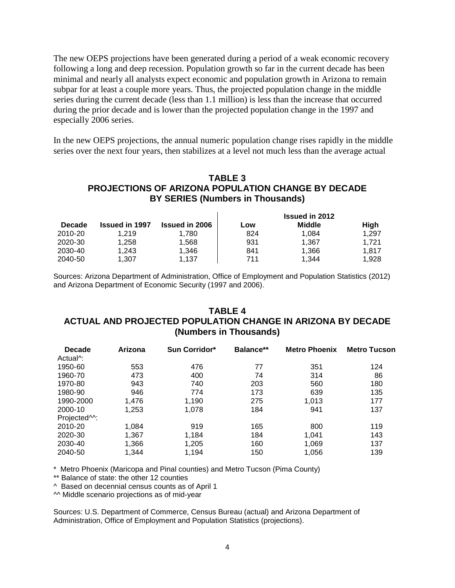The new OEPS projections have been generated during a period of a weak economic recovery following a long and deep recession. Population growth so far in the current decade has been minimal and nearly all analysts expect economic and population growth in Arizona to remain subpar for at least a couple more years. Thus, the projected population change in the middle series during the current decade (less than 1.1 million) is less than the increase that occurred during the prior decade and is lower than the projected population change in the 1997 and especially 2006 series.

In the new OEPS projections, the annual numeric population change rises rapidly in the middle series over the next four years, then stabilizes at a level not much less than the average actual

## **TABLE 3 PROJECTIONS OF ARIZONA POPULATION CHANGE BY DECADE BY SERIES (Numbers in Thousands)**

|               |                       |                       |     | <b>Issued in 2012</b> |       |
|---------------|-----------------------|-----------------------|-----|-----------------------|-------|
| <b>Decade</b> | <b>Issued in 1997</b> | <b>Issued in 2006</b> | ∟ow | <b>Middle</b>         | High  |
| 2010-20       | 1.219                 | 1.780                 | 824 | 1.084                 | 1.297 |
| 2020-30       | 1.258                 | 1,568                 | 931 | 1.367                 | 1.721 |
| 2030-40       | 1.243                 | 1.346                 | 841 | 1.366                 | 1.817 |
| 2040-50       | 1,307                 | 1.137                 | 711 | 1.344                 | 1.928 |

Sources: Arizona Department of Administration, Office of Employment and Population Statistics (2012) and Arizona Department of Economic Security (1997 and 2006).

## **TABLE 4 ACTUAL AND PROJECTED POPULATION CHANGE IN ARIZONA BY DECADE (Numbers in Thousands)**

| <b>Decade</b>            | Arizona | Sun Corridor* | Balance** | <b>Metro Phoenix</b> | <b>Metro Tucson</b> |
|--------------------------|---------|---------------|-----------|----------------------|---------------------|
| Actual <sup>^</sup> :    |         |               |           |                      |                     |
| 1950-60                  | 553     | 476           | 77        | 351                  | 124                 |
| 1960-70                  | 473     | 400           | 74        | 314                  | 86                  |
| 1970-80                  | 943     | 740           | 203       | 560                  | 180                 |
| 1980-90                  | 946     | 774           | 173       | 639                  | 135                 |
| 1990-2000                | 1.476   | 1.190         | 275       | 1.013                | 177                 |
| 2000-10                  | 1.253   | 1.078         | 184       | 941                  | 137                 |
| Projected <sup>M</sup> : |         |               |           |                      |                     |
| 2010-20                  | 1,084   | 919           | 165       | 800                  | 119                 |
| 2020-30                  | 1,367   | 1.184         | 184       | 1.041                | 143                 |
| 2030-40                  | 1,366   | 1,205         | 160       | 1,069                | 137                 |
| 2040-50                  | 1.344   | 1.194         | 150       | 1,056                | 139                 |

\* Metro Phoenix (Maricopa and Pinal counties) and Metro Tucson (Pima County)

\*\* Balance of state: the other 12 counties

^ Based on decennial census counts as of April 1

^^ Middle scenario projections as of mid-year

Sources: U.S. Department of Commerce, Census Bureau (actual) and Arizona Department of Administration, Office of Employment and Population Statistics (projections).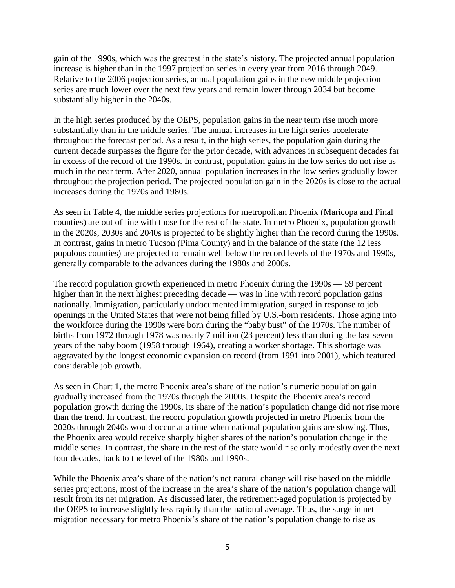gain of the 1990s, which was the greatest in the state's history. The projected annual population increase is higher than in the 1997 projection series in every year from 2016 through 2049. Relative to the 2006 projection series, annual population gains in the new middle projection series are much lower over the next few years and remain lower through 2034 but become substantially higher in the 2040s.

In the high series produced by the OEPS, population gains in the near term rise much more substantially than in the middle series. The annual increases in the high series accelerate throughout the forecast period. As a result, in the high series, the population gain during the current decade surpasses the figure for the prior decade, with advances in subsequent decades far in excess of the record of the 1990s. In contrast, population gains in the low series do not rise as much in the near term. After 2020, annual population increases in the low series gradually lower throughout the projection period. The projected population gain in the 2020s is close to the actual increases during the 1970s and 1980s.

As seen in Table 4, the middle series projections for metropolitan Phoenix (Maricopa and Pinal counties) are out of line with those for the rest of the state. In metro Phoenix, population growth in the 2020s, 2030s and 2040s is projected to be slightly higher than the record during the 1990s. In contrast, gains in metro Tucson (Pima County) and in the balance of the state (the 12 less populous counties) are projected to remain well below the record levels of the 1970s and 1990s, generally comparable to the advances during the 1980s and 2000s.

The record population growth experienced in metro Phoenix during the 1990s — 59 percent higher than in the next highest preceding decade — was in line with record population gains nationally. Immigration, particularly undocumented immigration, surged in response to job openings in the United States that were not being filled by U.S.-born residents. Those aging into the workforce during the 1990s were born during the "baby bust" of the 1970s. The number of births from 1972 through 1978 was nearly 7 million (23 percent) less than during the last seven years of the baby boom (1958 through 1964), creating a worker shortage. This shortage was aggravated by the longest economic expansion on record (from 1991 into 2001), which featured considerable job growth.

As seen in Chart 1, the metro Phoenix area's share of the nation's numeric population gain gradually increased from the 1970s through the 2000s. Despite the Phoenix area's record population growth during the 1990s, its share of the nation's population change did not rise more than the trend. In contrast, the record population growth projected in metro Phoenix from the 2020s through 2040s would occur at a time when national population gains are slowing. Thus, the Phoenix area would receive sharply higher shares of the nation's population change in the middle series. In contrast, the share in the rest of the state would rise only modestly over the next four decades, back to the level of the 1980s and 1990s.

While the Phoenix area's share of the nation's net natural change will rise based on the middle series projections, most of the increase in the area's share of the nation's population change will result from its net migration. As discussed later, the retirement-aged population is projected by the OEPS to increase slightly less rapidly than the national average. Thus, the surge in net migration necessary for metro Phoenix's share of the nation's population change to rise as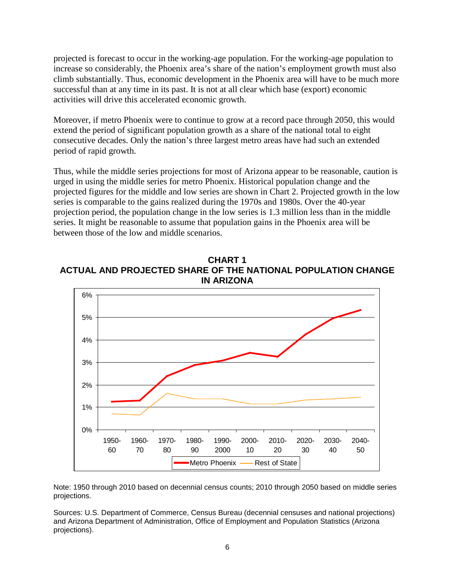projected is forecast to occur in the working-age population. For the working-age population to increase so considerably, the Phoenix area's share of the nation's employment growth must also climb substantially. Thus, economic development in the Phoenix area will have to be much more successful than at any time in its past. It is not at all clear which base (export) economic activities will drive this accelerated economic growth.

Moreover, if metro Phoenix were to continue to grow at a record pace through 2050, this would extend the period of significant population growth as a share of the national total to eight consecutive decades. Only the nation's three largest metro areas have had such an extended period of rapid growth.

Thus, while the middle series projections for most of Arizona appear to be reasonable, caution is urged in using the middle series for metro Phoenix. Historical population change and the projected figures for the middle and low series are shown in Chart 2. Projected growth in the low series is comparable to the gains realized during the 1970s and 1980s. Over the 40-year projection period, the population change in the low series is 1.3 million less than in the middle series. It might be reasonable to assume that population gains in the Phoenix area will be between those of the low and middle scenarios.

**CHART 1 ACTUAL AND PROJECTED SHARE OF THE NATIONAL POPULATION CHANGE IN ARIZONA**



Note: 1950 through 2010 based on decennial census counts; 2010 through 2050 based on middle series projections.

Sources: U.S. Department of Commerce, Census Bureau (decennial censuses and national projections) and Arizona Department of Administration, Office of Employment and Population Statistics (Arizona projections).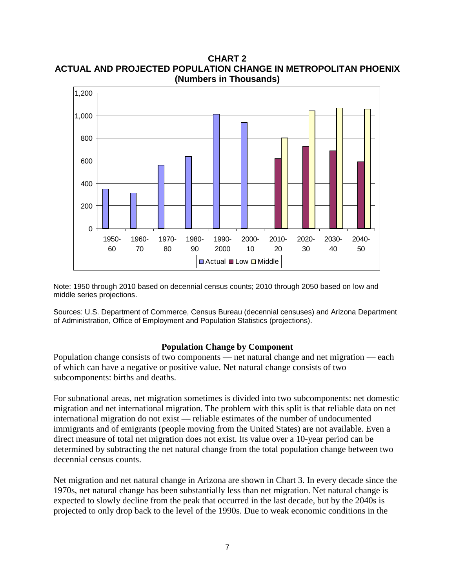**CHART 2 ACTUAL AND PROJECTED POPULATION CHANGE IN METROPOLITAN PHOENIX (Numbers in Thousands)**



Note: 1950 through 2010 based on decennial census counts; 2010 through 2050 based on low and middle series projections.

Sources: U.S. Department of Commerce, Census Bureau (decennial censuses) and Arizona Department of Administration, Office of Employment and Population Statistics (projections).

### **Population Change by Component**

Population change consists of two components — net natural change and net migration — each of which can have a negative or positive value. Net natural change consists of two subcomponents: births and deaths.

For subnational areas, net migration sometimes is divided into two subcomponents: net domestic migration and net international migration. The problem with this split is that reliable data on net international migration do not exist — reliable estimates of the number of undocumented immigrants and of emigrants (people moving from the United States) are not available. Even a direct measure of total net migration does not exist. Its value over a 10-year period can be determined by subtracting the net natural change from the total population change between two decennial census counts.

Net migration and net natural change in Arizona are shown in Chart 3. In every decade since the 1970s, net natural change has been substantially less than net migration. Net natural change is expected to slowly decline from the peak that occurred in the last decade, but by the 2040s is projected to only drop back to the level of the 1990s. Due to weak economic conditions in the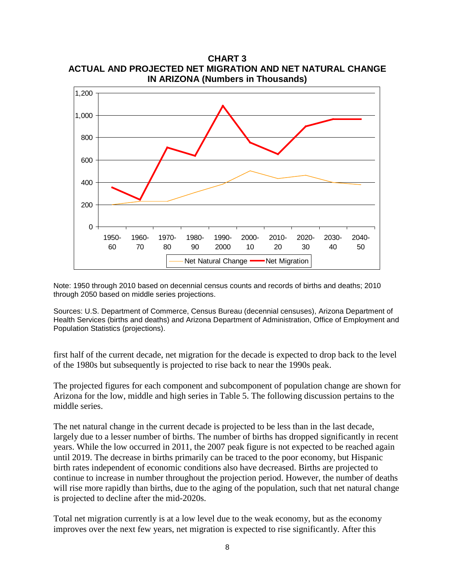

Note: 1950 through 2010 based on decennial census counts and records of births and deaths; 2010 through 2050 based on middle series projections.

Sources: U.S. Department of Commerce, Census Bureau (decennial censuses), Arizona Department of Health Services (births and deaths) and Arizona Department of Administration, Office of Employment and Population Statistics (projections).

first half of the current decade, net migration for the decade is expected to drop back to the level of the 1980s but subsequently is projected to rise back to near the 1990s peak.

The projected figures for each component and subcomponent of population change are shown for Arizona for the low, middle and high series in Table 5. The following discussion pertains to the middle series.

The net natural change in the current decade is projected to be less than in the last decade, largely due to a lesser number of births. The number of births has dropped significantly in recent years. While the low occurred in 2011, the 2007 peak figure is not expected to be reached again until 2019. The decrease in births primarily can be traced to the poor economy, but Hispanic birth rates independent of economic conditions also have decreased. Births are projected to continue to increase in number throughout the projection period. However, the number of deaths will rise more rapidly than births, due to the aging of the population, such that net natural change is projected to decline after the mid-2020s.

Total net migration currently is at a low level due to the weak economy, but as the economy improves over the next few years, net migration is expected to rise significantly. After this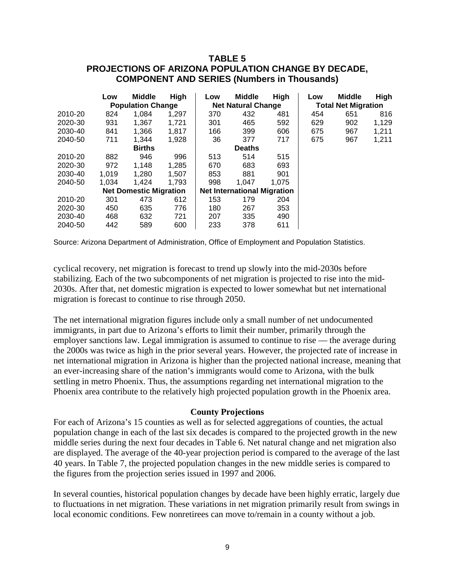## **TABLE 5 PROJECTIONS OF ARIZONA POPULATION CHANGE BY DECADE, COMPONENT AND SERIES (Numbers in Thousands)**

|               | Low                      | <b>Middle</b>                 | <b>High</b> | Low                       | <b>Middle</b>                      | High  | Low | <b>Middle</b> | High  |                            |  |
|---------------|--------------------------|-------------------------------|-------------|---------------------------|------------------------------------|-------|-----|---------------|-------|----------------------------|--|
|               | <b>Population Change</b> |                               |             | <b>Net Natural Change</b> |                                    |       |     |               |       | <b>Total Net Migration</b> |  |
| 2010-20       | 824                      | 1,084                         | 1,297       | 370                       | 432                                | 481   | 454 | 651           | 816   |                            |  |
| 2020-30       | 931                      | 1.367                         | 1.721       | 301                       | 465                                | 592   | 629 | 902           | 1,129 |                            |  |
| 2030-40       | 841                      | 1,366                         | 1,817       | 166                       | 399                                | 606   | 675 | 967           | 1,211 |                            |  |
| 2040-50       | 711                      | 1,344                         | 1,928       | 36                        | 377                                | 717   | 675 | 967           | 1,211 |                            |  |
| <b>Births</b> |                          |                               |             | <b>Deaths</b>             |                                    |       |     |               |       |                            |  |
| 2010-20       | 882                      | 946                           | 996         | 513                       | 514                                | 515   |     |               |       |                            |  |
| 2020-30       | 972                      | 1.148                         | 1,285       | 670                       | 683                                | 693   |     |               |       |                            |  |
| 2030-40       | 1.019                    | 1,280                         | 1.507       | 853                       | 881                                | 901   |     |               |       |                            |  |
| 2040-50       | 1.034                    | 1.424                         | 1.793       | 998                       | 1.047                              | 1.075 |     |               |       |                            |  |
|               |                          | <b>Net Domestic Migration</b> |             |                           | <b>Net International Migration</b> |       |     |               |       |                            |  |
| 2010-20       | 301                      | 473                           | 612         | 153                       | 179                                | 204   |     |               |       |                            |  |
| 2020-30       | 450                      | 635                           | 776         | 180                       | 267                                | 353   |     |               |       |                            |  |
| 2030-40       | 468                      | 632                           | 721         | 207                       | 335                                | 490   |     |               |       |                            |  |
| 2040-50       | 442                      | 589                           | 600         | 233                       | 378                                | 611   |     |               |       |                            |  |

Source: Arizona Department of Administration, Office of Employment and Population Statistics.

cyclical recovery, net migration is forecast to trend up slowly into the mid-2030s before stabilizing. Each of the two subcomponents of net migration is projected to rise into the mid-2030s. After that, net domestic migration is expected to lower somewhat but net international migration is forecast to continue to rise through 2050.

The net international migration figures include only a small number of net undocumented immigrants, in part due to Arizona's efforts to limit their number, primarily through the employer sanctions law. Legal immigration is assumed to continue to rise — the average during the 2000s was twice as high in the prior several years. However, the projected rate of increase in net international migration in Arizona is higher than the projected national increase, meaning that an ever-increasing share of the nation's immigrants would come to Arizona, with the bulk settling in metro Phoenix. Thus, the assumptions regarding net international migration to the Phoenix area contribute to the relatively high projected population growth in the Phoenix area.

#### **County Projections**

For each of Arizona's 15 counties as well as for selected aggregations of counties, the actual population change in each of the last six decades is compared to the projected growth in the new middle series during the next four decades in Table 6. Net natural change and net migration also are displayed. The average of the 40-year projection period is compared to the average of the last 40 years. In Table 7, the projected population changes in the new middle series is compared to the figures from the projection series issued in 1997 and 2006.

In several counties, historical population changes by decade have been highly erratic, largely due to fluctuations in net migration. These variations in net migration primarily result from swings in local economic conditions. Few nonretirees can move to/remain in a county without a job.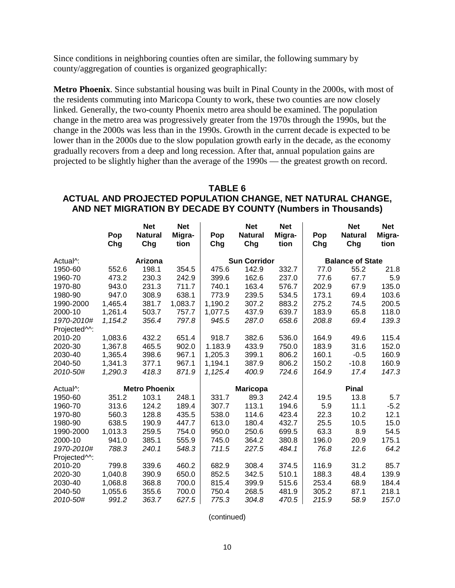Since conditions in neighboring counties often are similar, the following summary by county/aggregation of counties is organized geographically:

**Metro Phoenix**. Since substantial housing was built in Pinal County in the 2000s, with most of the residents commuting into Maricopa County to work, these two counties are now closely linked. Generally, the two-county Phoenix metro area should be examined. The population change in the metro area was progressively greater from the 1970s through the 1990s, but the change in the 2000s was less than in the 1990s. Growth in the current decade is expected to be lower than in the 2000s due to the slow population growth early in the decade, as the economy gradually recovers from a deep and long recession. After that, annual population gains are projected to be slightly higher than the average of the 1990s — the greatest growth on record.

### **TABLE 6 ACTUAL AND PROJECTED POPULATION CHANGE, NET NATURAL CHANGE, AND NET MIGRATION BY DECADE BY COUNTY (Numbers in Thousands)**

|                           |            | <b>Net</b>            | <b>Net</b>     |            | <b>Net</b>            | <b>Net</b>     |            | <b>Net</b>              | <b>Net</b>     |
|---------------------------|------------|-----------------------|----------------|------------|-----------------------|----------------|------------|-------------------------|----------------|
|                           | Pop<br>Chg | <b>Natural</b><br>Chg | Migra-<br>tion | Pop<br>Chg | <b>Natural</b><br>Chg | Migra-<br>tion | Pop<br>Chg | <b>Natural</b><br>Chg   | Migra-<br>tion |
| Actual <sup>A</sup> :     |            | Arizona               |                |            | <b>Sun Corridor</b>   |                |            | <b>Balance of State</b> |                |
| 1950-60                   | 552.6      | 198.1                 | 354.5          | 475.6      | 142.9                 | 332.7          | 77.0       | 55.2                    | 21.8           |
| 1960-70                   | 473.2      | 230.3                 | 242.9          | 399.6      | 162.6                 | 237.0          | 77.6       | 67.7                    | 5.9            |
| 1970-80                   | 943.0      | 231.3                 | 711.7          | 740.1      | 163.4                 | 576.7          | 202.9      | 67.9                    | 135.0          |
| 1980-90                   | 947.0      | 308.9                 | 638.1          | 773.9      | 239.5                 | 534.5          | 173.1      | 69.4                    | 103.6          |
| 1990-2000                 | 1,465.4    | 381.7                 | 1,083.7        | 1,190.2    | 307.2                 | 883.2          | 275.2      | 74.5                    | 200.5          |
| 2000-10                   | 1,261.4    | 503.7                 | 757.7          | 1,077.5    | 437.9                 | 639.7          | 183.9      | 65.8                    | 118.0          |
| 1970-2010#                | 1,154.2    | 356.4                 | 797.8          | 945.5      | 287.0                 | 658.6          | 208.8      | 69.4                    | 139.3          |
| Projected <sup>^^</sup> : |            |                       |                |            |                       |                |            |                         |                |
| 2010-20                   | 1,083.6    | 432.2                 | 651.4          | 918.7      | 382.6                 | 536.0          | 164.9      | 49.6                    | 115.4          |
| 2020-30                   | 1,367.8    | 465.5                 | 902.0          | 1.183.9    | 433.9                 | 750.0          | 183.9      | 31.6                    | 152.0          |
| 2030-40                   | 1,365.4    | 398.6                 | 967.1          | 1,205.3    | 399.1                 | 806.2          | 160.1      | $-0.5$                  | 160.9          |
| 2040-50                   | 1,341.3    | 377.1                 | 967.1          | 1,194.1    | 387.9                 | 806.2          | 150.2      | $-10.8$                 | 160.9          |
| 2010-50#                  | 1,290.3    | 418.3                 | 871.9          | 1,125.4    | 400.9                 | 724.6          | 164.9      | 17.4                    | 147.3          |
| Actual <sup>^</sup> :     |            | <b>Metro Phoenix</b>  |                |            | <b>Maricopa</b>       |                |            | <b>Pinal</b>            |                |
| 1950-60                   | 351.2      | 103.1                 | 248.1          | 331.7      | 89.3                  | 242.4          | 19.5       | 13.8                    | 5.7            |
| 1960-70                   | 313.6      | 124.2                 | 189.4          | 307.7      | 113.1                 | 194.6          | 5.9        | 11.1                    | $-5.2$         |
| 1970-80                   | 560.3      | 128.8                 | 435.5          | 538.0      | 114.6                 | 423.4          | 22.3       | 10.2                    | 12.1           |
| 1980-90                   | 638.5      | 190.9                 | 447.7          | 613.0      | 180.4                 | 432.7          | 25.5       | 10.5                    | 15.0           |
| 1990-2000                 | 1,013.3    | 259.5                 | 754.0          | 950.0      | 250.6                 | 699.5          | 63.3       | 8.9                     | 54.5           |
| 2000-10                   | 941.0      | 385.1                 | 555.9          | 745.0      | 364.2                 | 380.8          | 196.0      | 20.9                    | 175.1          |
| 1970-2010#                | 788.3      | 240.1                 | 548.3          | 711.5      | 227.5                 | 484.1          | 76.8       | 12.6                    | 64.2           |
| Projected <sup>^^</sup> : |            |                       |                |            |                       |                |            |                         |                |
| 2010-20                   | 799.8      | 339.6                 | 460.2          | 682.9      | 308.4                 | 374.5          | 116.9      | 31.2                    | 85.7           |
| 2020-30                   | 1,040.8    | 390.9                 | 650.0          | 852.5      | 342.5                 | 510.1          | 188.3      | 48.4                    | 139.9          |
| 2030-40                   | 1,068.8    | 368.8                 | 700.0          | 815.4      | 399.9                 | 515.6          | 253.4      | 68.9                    | 184.4          |
| 2040-50                   | 1,055.6    | 355.6                 | 700.0          | 750.4      | 268.5                 | 481.9          | 305.2      | 87.1                    | 218.1          |
| 2010-50#                  | 991.2      | 363.7                 | 627.5          | 775.3      | 304.8                 | 470.5          | 215.9      | 58.9                    | 157.0          |

(continued)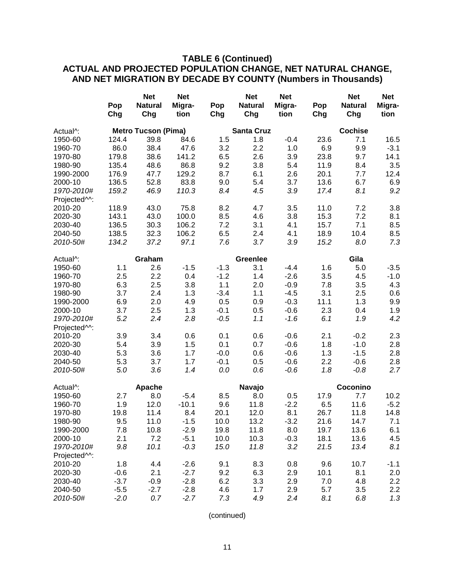## **TABLE 6 (Continued)**

## **ACTUAL AND PROJECTED POPULATION CHANGE, NET NATURAL CHANGE, AND NET MIGRATION BY DECADE BY COUNTY (Numbers in Thousands)**

| <b>Net</b>                                          | <b>Net</b> |        | <b>Net</b>        | <b>Net</b> |      | <b>Net</b>     | <b>Net</b> |
|-----------------------------------------------------|------------|--------|-------------------|------------|------|----------------|------------|
| Pop<br><b>Natural</b>                               | Migra-     | Pop    | <b>Natural</b>    | Migra-     | Pop  | <b>Natural</b> | Migra-     |
| Chg<br>Chg                                          | tion       | Chg    | Chg               | tion       | Chg  | Chg            | tion       |
| <b>Metro Tucson (Pima)</b><br>Actual <sup>^</sup> : |            |        | <b>Santa Cruz</b> |            |      | <b>Cochise</b> |            |
| 124.4<br>39.8<br>1950-60                            | 84.6       | 1.5    | 1.8               | $-0.4$     | 23.6 | 7.1            | 16.5       |
| 86.0<br>38.4<br>1960-70                             | 47.6       | 3.2    | 2.2               | 1.0        | 6.9  | 9.9            | $-3.1$     |
| 179.8<br>38.6<br>1970-80                            | 141.2      | 6.5    | 2.6               | 3.9        | 23.8 | 9.7            | 14.1       |
| 1980-90<br>135.4<br>48.6                            | 86.8       | 9.2    | 3.8               | 5.4        | 11.9 | 8.4            | 3.5        |
| 176.9<br>47.7<br>1990-2000                          | 129.2      | 8.7    | 6.1               | 2.6        | 20.1 | 7.7            | 12.4       |
| 52.8<br>136.5<br>2000-10                            | 83.8       | 9.0    | 5.4               | 3.7        | 13.6 | 6.7            | 6.9        |
| 1970-2010#<br>159.2<br>46.9                         | 110.3      | 8.4    | 4.5               | 3.9        | 17.4 | 8.1            | 9.2        |
| Projected <sup>^^</sup> :                           |            |        |                   |            |      |                |            |
| 118.9<br>43.0<br>2010-20                            | 75.8       | 8.2    | 4.7               | 3.5        | 11.0 | 7.2            | 3.8        |
| 43.0<br>2020-30<br>143.1                            | 100.0      | 8.5    | 4.6               | 3.8        | 15.3 | 7.2            | 8.1        |
| 30.3<br>2030-40<br>136.5                            | 106.2      | 7.2    | 3.1               | 4.1        | 15.7 | 7.1            | 8.5        |
| 32.3<br>138.5<br>2040-50                            | 106.2      | 6.5    | 2.4               | 4.1        | 18.9 | 10.4           | 8.5        |
| 134.2<br>37.2<br>2010-50#                           | 97.1       | 7.6    | 3.7               | 3.9        | 15.2 | 8.0            | 7.3        |
| Graham<br>Actual <sup>^</sup> :                     |            |        | <b>Greenlee</b>   |            |      | Gila           |            |
| 1.1<br>2.6<br>1950-60                               | $-1.5$     | $-1.3$ | 3.1               | $-4.4$     | 1.6  | 5.0            | $-3.5$     |
| 2.5<br>2.2<br>1960-70                               | 0.4        | $-1.2$ | 1.4               | $-2.6$     | 3.5  | 4.5            | $-1.0$     |
| 2.5<br>6.3<br>1970-80                               | 3.8        | 1.1    | 2.0               | $-0.9$     | 7.8  | 3.5            | 4.3        |
| 3.7<br>2.4<br>1980-90                               | 1.3        | $-3.4$ | 1.1               | $-4.5$     | 3.1  | 2.5            | 0.6        |
| 6.9<br>2.0<br>1990-2000                             | 4.9        | 0.5    | 0.9               | $-0.3$     | 11.1 | 1.3            | 9.9        |
| 2.5<br>2000-10<br>3.7                               | 1.3        | $-0.1$ | 0.5               | $-0.6$     | 2.3  | 0.4            | 1.9        |
| 5.2<br>2.4<br>1970-2010#                            | 2.8        | $-0.5$ | 1.1               | $-1.6$     | 6.1  | 1.9            | 4.2        |
| Projected <sup>^^</sup> :                           |            |        |                   |            |      |                |            |
| 3.9<br>3.4<br>2010-20                               | 0.6        | 0.1    | 0.6               | $-0.6$     | 2.1  | $-0.2$         | 2.3        |
| 3.9<br>2020-30<br>5.4                               | 1.5        | 0.1    | 0.7               | $-0.6$     | 1.8  | $-1.0$         | 2.8        |
| 3.6<br>2030-40<br>5.3                               | 1.7        | $-0.0$ | 0.6               | $-0.6$     | 1.3  | $-1.5$         | 2.8        |
| 5.3<br>3.7<br>2040-50                               | 1.7        | $-0.1$ | 0.5               | $-0.6$     | 2.2  | $-0.6$         | 2.8        |
| 5.0<br>3.6<br>2010-50#                              | 1.4        | 0.0    | 0.6               | $-0.6$     | 1.8  | $-0.8$         | 2.7        |
| Apache<br>Actual <sup>^</sup> :                     |            |        | Navajo            |            |      | Coconino       |            |
| 2.7<br>1950-60<br>8.0                               | $-5.4$     | 8.5    | 8.0               | 0.5        | 17.9 | 7.7            | 10.2       |
| 1960-70<br>1.9<br>12.0                              | $-10.1$    | 9.6    | 11.8              | $-2.2$     | 6.5  | 11.6           | $-5.2$     |
| 19.8<br>1970-80<br>11.4                             | 8.4        | 20.1   | 12.0              | 8.1        | 26.7 | 11.8           | 14.8       |
| 1980-90<br>9.5<br>11.0                              | $-1.5$     | 10.0   | 13.2              | $-3.2$     | 21.6 | 14.7           | 7.1        |
| 10.8<br>1990-2000<br>7.8                            | $-2.9$     | 19.8   | 11.8              | 8.0        | 19.7 | 13.6           | 6.1        |
| 2.1<br>7.2<br>2000-10                               | $-5.1$     | 10.0   | 10.3              | $-0.3$     | 18.1 | 13.6           | 4.5        |
| 10.1<br>1970-2010#<br>9.8                           | $-0.3$     | 15.0   | 11.8              | 3.2        | 21.5 | 13.4           | 8.1        |
| Projected <sup>^^</sup> :                           |            |        |                   |            |      |                |            |
| 2010-20<br>1.8<br>4.4                               | $-2.6$     | 9.1    | 8.3               | 0.8        | 9.6  | 10.7           | $-1.1$     |
| $-0.6$<br>2.1<br>2020-30                            | $-2.7$     | 9.2    | 6.3               | 2.9        | 10.1 | 8.1            | 2.0        |
| 2030-40<br>$-3.7$<br>$-0.9$                         | $-2.8$     | 6.2    | 3.3               | 2.9        | 7.0  | 4.8            | 2.2        |
| $-5.5$<br>$-2.7$<br>2040-50                         | $-2.8$     | 4.6    | 1.7               | 2.9        | 5.7  | 3.5            | 2.2        |
| $-2.0$<br>2010-50#<br>0.7                           | $-2.7$     | 7.3    | 4.9               | 2.4        | 8.1  | 6.8            | 1.3        |

(continued)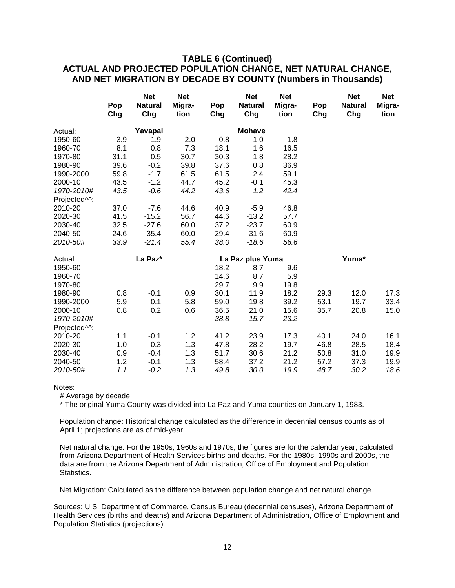## **TABLE 6 (Continued) ACTUAL AND PROJECTED POPULATION CHANGE, NET NATURAL CHANGE, AND NET MIGRATION BY DECADE BY COUNTY (Numbers in Thousands)**

|                           | Pop<br>Chg | <b>Net</b><br><b>Natural</b><br>Chg | <b>Net</b><br>Migra-<br>tion | Pop<br>Chg | <b>Net</b><br><b>Natural</b><br>Chg | <b>Net</b><br>Migra-<br>tion | Pop<br>Chg | <b>Net</b><br><b>Natural</b><br>Chg | <b>Net</b><br>Migra-<br>tion |
|---------------------------|------------|-------------------------------------|------------------------------|------------|-------------------------------------|------------------------------|------------|-------------------------------------|------------------------------|
| Actual:                   |            | Yavapai                             |                              |            | <b>Mohave</b>                       |                              |            |                                     |                              |
| 1950-60                   | 3.9        | 1.9                                 | 2.0                          | $-0.8$     | 1.0                                 | $-1.8$                       |            |                                     |                              |
| 1960-70                   | 8.1        | 0.8                                 | 7.3                          | 18.1       | 1.6                                 | 16.5                         |            |                                     |                              |
| 1970-80                   | 31.1       | 0.5                                 | 30.7                         | 30.3       | 1.8                                 | 28.2                         |            |                                     |                              |
| 1980-90                   | 39.6       | $-0.2$                              | 39.8                         | 37.6       | 0.8                                 | 36.9                         |            |                                     |                              |
| 1990-2000                 | 59.8       | $-1.7$                              | 61.5                         | 61.5       | 2.4                                 | 59.1                         |            |                                     |                              |
| 2000-10                   | 43.5       | $-1.2$                              | 44.7                         | 45.2       | $-0.1$                              | 45.3                         |            |                                     |                              |
| 1970-2010#                | 43.5       | $-0.6$                              | 44.2                         | 43.6       | 1.2                                 | 42.4                         |            |                                     |                              |
| Projected <sup>^^</sup> : |            |                                     |                              |            |                                     |                              |            |                                     |                              |
| 2010-20                   | 37.0       | $-7.6$                              | 44.6                         | 40.9       | $-5.9$                              | 46.8                         |            |                                     |                              |
| 2020-30                   | 41.5       | $-15.2$                             | 56.7                         | 44.6       | $-13.2$                             | 57.7                         |            |                                     |                              |
| 2030-40                   | 32.5       | $-27.6$                             | 60.0                         | 37.2       | $-23.7$                             | 60.9                         |            |                                     |                              |
| 2040-50                   | 24.6       | $-35.4$                             | 60.0                         | 29.4       | $-31.6$                             | 60.9                         |            |                                     |                              |
| 2010-50#                  | 33.9       | $-21.4$                             | 55.4                         | 38.0       | $-18.6$                             | 56.6                         |            |                                     |                              |
| Actual:                   |            | La Paz*                             |                              |            | La Paz plus Yuma                    |                              |            | Yuma*                               |                              |
| 1950-60                   |            |                                     |                              | 18.2       | 8.7                                 | 9.6                          |            |                                     |                              |
| 1960-70                   |            |                                     |                              | 14.6       | 8.7                                 | 5.9                          |            |                                     |                              |
| 1970-80                   |            |                                     |                              | 29.7       | 9.9                                 | 19.8                         |            |                                     |                              |
| 1980-90                   | 0.8        | $-0.1$                              | 0.9                          | 30.1       | 11.9                                | 18.2                         | 29.3       | 12.0                                | 17.3                         |
| 1990-2000                 | 5.9        | 0.1                                 | 5.8                          | 59.0       | 19.8                                | 39.2                         | 53.1       | 19.7                                | 33.4                         |
| 2000-10                   | 0.8        | 0.2                                 | 0.6                          | 36.5       | 21.0                                | 15.6                         | 35.7       | 20.8                                | 15.0                         |
| 1970-2010#                |            |                                     |                              | 38.8       | 15.7                                | 23.2                         |            |                                     |                              |
| Projected <sup>^^</sup> : |            |                                     |                              |            |                                     |                              |            |                                     |                              |
| 2010-20                   | 1.1        | $-0.1$                              | 1.2                          | 41.2       | 23.9                                | 17.3                         | 40.1       | 24.0                                | 16.1                         |
| 2020-30                   | 1.0        | $-0.3$                              | 1.3                          | 47.8       | 28.2                                | 19.7                         | 46.8       | 28.5                                | 18.4                         |
| 2030-40                   | 0.9        | $-0.4$                              | 1.3                          | 51.7       | 30.6                                | 21.2                         | 50.8       | 31.0                                | 19.9                         |
| 2040-50                   | 1.2        | $-0.1$                              | 1.3                          | 58.4       | 37.2                                | 21.2                         | 57.2       | 37.3                                | 19.9                         |
| 2010-50#                  | 1.1        | $-0.2$                              | 1.3                          | 49.8       | 30.0                                | 19.9                         | 48.7       | 30.2                                | 18.6                         |

#### Notes:

# Average by decade

\* The original Yuma County was divided into La Paz and Yuma counties on January 1, 1983.

Population change: Historical change calculated as the difference in decennial census counts as of April 1; projections are as of mid-year.

Net natural change: For the 1950s, 1960s and 1970s, the figures are for the calendar year, calculated from Arizona Department of Health Services births and deaths. For the 1980s, 1990s and 2000s, the data are from the Arizona Department of Administration, Office of Employment and Population Statistics.

Net Migration: Calculated as the difference between population change and net natural change.

Sources: U.S. Department of Commerce, Census Bureau (decennial censuses), Arizona Department of Health Services (births and deaths) and Arizona Department of Administration, Office of Employment and Population Statistics (projections).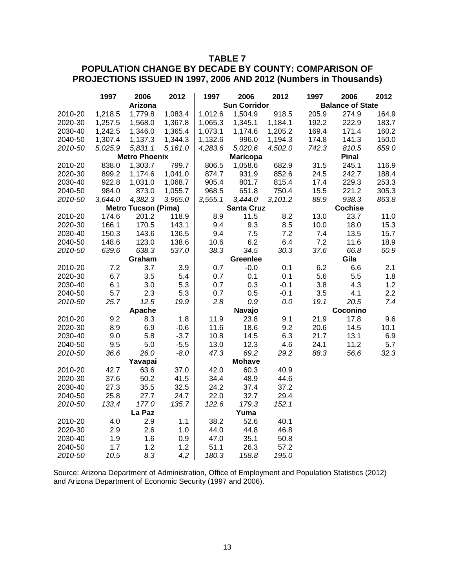## **TABLE 7**

## **POPULATION CHANGE BY DECADE BY COUNTY: COMPARISON OF PROJECTIONS ISSUED IN 1997, 2006 AND 2012 (Numbers in Thousands)**

|         | 1997    | 2006                       | 2012    | 1997    | 2006                | 2012    | 1997  | 2006                    | 2012  |
|---------|---------|----------------------------|---------|---------|---------------------|---------|-------|-------------------------|-------|
|         |         | <b>Arizona</b>             |         |         | <b>Sun Corridor</b> |         |       | <b>Balance of State</b> |       |
| 2010-20 | 1,218.5 | 1,779.8                    | 1,083.4 | 1,012.6 | 1,504.9             | 918.5   | 205.9 | 274.9                   | 164.9 |
| 2020-30 | 1,257.5 | 1,568.0                    | 1,367.8 | 1,065.3 | 1,345.1             | 1,184.1 | 192.2 | 222.9                   | 183.7 |
| 2030-40 | 1,242.5 | 1,346.0                    | 1,365.4 | 1,073.1 | 1,174.6             | 1,205.2 | 169.4 | 171.4                   | 160.2 |
| 2040-50 | 1,307.4 | 1,137.3                    | 1,344.3 | 1,132.6 | 996.0               | 1,194.3 | 174.8 | 141.3                   | 150.0 |
| 2010-50 | 5,025.9 | 5,831.1                    | 5,161.0 | 4,283.6 | 5,020.6             | 4,502.0 | 742.3 | 810.5                   | 659.0 |
|         |         | <b>Metro Phoenix</b>       |         |         | <b>Maricopa</b>     |         |       | <b>Pinal</b>            |       |
| 2010-20 | 838.0   | 1,303.7                    | 799.7   | 806.5   | 1,058.6             | 682.9   | 31.5  | 245.1                   | 116.9 |
| 2020-30 | 899.2   | 1,174.6                    | 1,041.0 | 874.7   | 931.9               | 852.6   | 24.5  | 242.7                   | 188.4 |
| 2030-40 | 922.8   | 1,031.0                    | 1,068.7 | 905.4   | 801.7               | 815.4   | 17.4  | 229.3                   | 253.3 |
| 2040-50 | 984.0   | 873.0                      | 1,055.7 | 968.5   | 651.8               | 750.4   | 15.5  | 221.2                   | 305.3 |
| 2010-50 | 3,644.0 | 4,382.3                    | 3,965.0 | 3,555.1 | 3,444.0             | 3,101.2 | 88.9  | 938.3                   | 863.8 |
|         |         | <b>Metro Tucson (Pima)</b> |         |         | <b>Santa Cruz</b>   |         |       | <b>Cochise</b>          |       |
| 2010-20 | 174.6   | 201.2                      | 118.9   | 8.9     | 11.5                | 8.2     | 13.0  | 23.7                    | 11.0  |
| 2020-30 | 166.1   | 170.5                      | 143.1   | 9.4     | 9.3                 | 8.5     | 10.0  | 18.0                    | 15.3  |
| 2030-40 | 150.3   | 143.6                      | 136.5   | 9.4     | 7.5                 | 7.2     | 7.4   | 13.5                    | 15.7  |
| 2040-50 | 148.6   | 123.0                      | 138.6   | 10.6    | 6.2                 | 6.4     | 7.2   | 11.6                    | 18.9  |
| 2010-50 | 639.6   | 638.3                      | 537.0   | 38.3    | 34.5                | 30.3    | 37.6  | 66.8                    | 60.9  |
|         |         | Graham                     |         |         | Greenlee            |         |       | Gila                    |       |
| 2010-20 | 7.2     | 3.7                        | 3.9     | 0.7     | $-0.0$              | 0.1     | 6.2   | 6.6                     | 2.1   |
| 2020-30 | 6.7     | 3.5                        | 5.4     | 0.7     | 0.1                 | 0.1     | 5.6   | 5.5                     | 1.8   |
| 2030-40 | 6.1     | 3.0                        | 5.3     | 0.7     | 0.3                 | $-0.1$  | 3.8   | 4.3                     | 1.2   |
| 2040-50 | 5.7     | 2.3                        | 5.3     | 0.7     | 0.5                 | $-0.1$  | 3.5   | 4.1                     | 2.2   |
| 2010-50 | 25.7    | 12.5                       | 19.9    | 2.8     | 0.9                 | 0.0     | 19.1  | 20.5                    | 7.4   |
|         |         | Apache                     |         |         | Navajo              |         |       | Coconino                |       |
| 2010-20 | 9.2     | 8.3                        | 1.8     | 11.9    | 23.8                | 9.1     | 21.9  | 17.8                    | 9.6   |
| 2020-30 | 8.9     | 6.9                        | $-0.6$  | 11.6    | 18.6                | 9.2     | 20.6  | 14.5                    | 10.1  |
| 2030-40 | 9.0     | 5.8                        | $-3.7$  | 10.8    | 14.5                | 6.3     | 21.7  | 13.1                    | 6.9   |
| 2040-50 | 9.5     | 5.0                        | $-5.5$  | 13.0    | 12.3                | 4.6     | 24.1  | 11.2                    | 5.7   |
| 2010-50 | 36.6    | 26.0                       | $-8.0$  | 47.3    | 69.2                | 29.2    | 88.3  | 56.6                    | 32.3  |
|         |         | Yavapai                    |         |         | <b>Mohave</b>       |         |       |                         |       |
| 2010-20 | 42.7    | 63.6                       | 37.0    | 42.0    | 60.3                | 40.9    |       |                         |       |
| 2020-30 | 37.6    | 50.2                       | 41.5    | 34.4    | 48.9                | 44.6    |       |                         |       |
| 2030-40 | 27.3    | 35.5                       | 32.5    | 24.2    | 37.4                | 37.2    |       |                         |       |
| 2040-50 | 25.8    | 27.7                       | 24.7    | 22.0    | 32.7                | 29.4    |       |                         |       |
| 2010-50 | 133.4   | 177.0                      | 135.7   | 122.6   | 179.3               | 152.1   |       |                         |       |
|         |         | La Paz                     |         |         | Yuma                |         |       |                         |       |
| 2010-20 | 4.0     | 2.9                        | 1.1     | 38.2    | 52.6                | 40.1    |       |                         |       |
| 2020-30 | 2.9     | 2.6                        | 1.0     | 44.0    | 44.8                | 46.8    |       |                         |       |
| 2030-40 | 1.9     | 1.6                        | 0.9     | 47.0    | 35.1                | 50.8    |       |                         |       |
| 2040-50 | 1.7     | 1.2                        | 1.2     | 51.1    | 26.3                | 57.2    |       |                         |       |
| 2010-50 | 10.5    | 8.3                        | 4.2     | 180.3   | 158.8               | 195.0   |       |                         |       |

Source: Arizona Department of Administration, Office of Employment and Population Statistics (2012) and Arizona Department of Economic Security (1997 and 2006).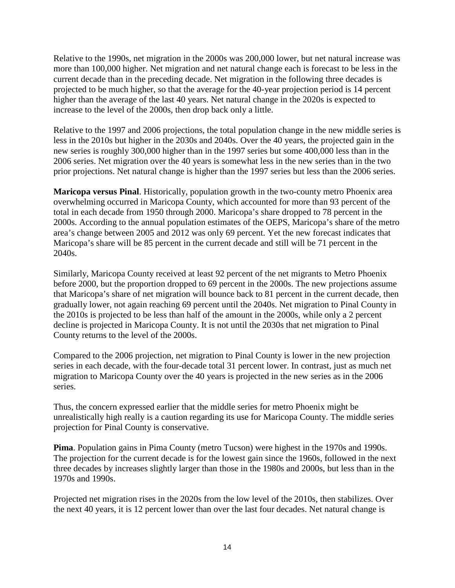Relative to the 1990s, net migration in the 2000s was 200,000 lower, but net natural increase was more than 100,000 higher. Net migration and net natural change each is forecast to be less in the current decade than in the preceding decade. Net migration in the following three decades is projected to be much higher, so that the average for the 40-year projection period is 14 percent higher than the average of the last 40 years. Net natural change in the 2020s is expected to increase to the level of the 2000s, then drop back only a little.

Relative to the 1997 and 2006 projections, the total population change in the new middle series is less in the 2010s but higher in the 2030s and 2040s. Over the 40 years, the projected gain in the new series is roughly 300,000 higher than in the 1997 series but some 400,000 less than in the 2006 series. Net migration over the 40 years is somewhat less in the new series than in the two prior projections. Net natural change is higher than the 1997 series but less than the 2006 series.

**Maricopa versus Pinal**. Historically, population growth in the two-county metro Phoenix area overwhelming occurred in Maricopa County, which accounted for more than 93 percent of the total in each decade from 1950 through 2000. Maricopa's share dropped to 78 percent in the 2000s. According to the annual population estimates of the OEPS, Maricopa's share of the metro area's change between 2005 and 2012 was only 69 percent. Yet the new forecast indicates that Maricopa's share will be 85 percent in the current decade and still will be 71 percent in the 2040s.

Similarly, Maricopa County received at least 92 percent of the net migrants to Metro Phoenix before 2000, but the proportion dropped to 69 percent in the 2000s. The new projections assume that Maricopa's share of net migration will bounce back to 81 percent in the current decade, then gradually lower, not again reaching 69 percent until the 2040s. Net migration to Pinal County in the 2010s is projected to be less than half of the amount in the 2000s, while only a 2 percent decline is projected in Maricopa County. It is not until the 2030s that net migration to Pinal County returns to the level of the 2000s.

Compared to the 2006 projection, net migration to Pinal County is lower in the new projection series in each decade, with the four-decade total 31 percent lower. In contrast, just as much net migration to Maricopa County over the 40 years is projected in the new series as in the 2006 series.

Thus, the concern expressed earlier that the middle series for metro Phoenix might be unrealistically high really is a caution regarding its use for Maricopa County. The middle series projection for Pinal County is conservative.

**Pima**. Population gains in Pima County (metro Tucson) were highest in the 1970s and 1990s. The projection for the current decade is for the lowest gain since the 1960s, followed in the next three decades by increases slightly larger than those in the 1980s and 2000s, but less than in the 1970s and 1990s.

Projected net migration rises in the 2020s from the low level of the 2010s, then stabilizes. Over the next 40 years, it is 12 percent lower than over the last four decades. Net natural change is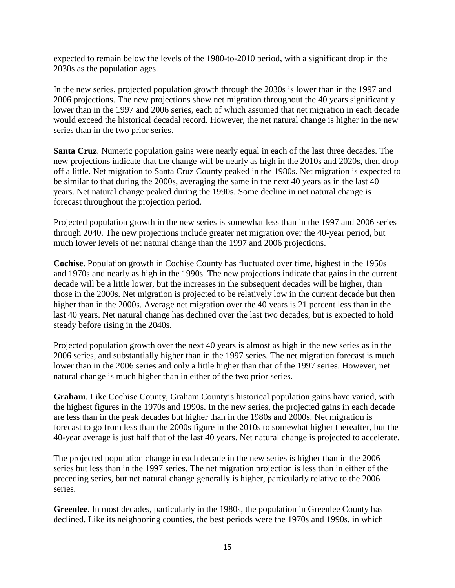expected to remain below the levels of the 1980-to-2010 period, with a significant drop in the 2030s as the population ages.

In the new series, projected population growth through the 2030s is lower than in the 1997 and 2006 projections. The new projections show net migration throughout the 40 years significantly lower than in the 1997 and 2006 series, each of which assumed that net migration in each decade would exceed the historical decadal record. However, the net natural change is higher in the new series than in the two prior series.

**Santa Cruz**. Numeric population gains were nearly equal in each of the last three decades. The new projections indicate that the change will be nearly as high in the 2010s and 2020s, then drop off a little. Net migration to Santa Cruz County peaked in the 1980s. Net migration is expected to be similar to that during the 2000s, averaging the same in the next 40 years as in the last 40 years. Net natural change peaked during the 1990s. Some decline in net natural change is forecast throughout the projection period.

Projected population growth in the new series is somewhat less than in the 1997 and 2006 series through 2040. The new projections include greater net migration over the 40-year period, but much lower levels of net natural change than the 1997 and 2006 projections.

**Cochise**. Population growth in Cochise County has fluctuated over time, highest in the 1950s and 1970s and nearly as high in the 1990s. The new projections indicate that gains in the current decade will be a little lower, but the increases in the subsequent decades will be higher, than those in the 2000s. Net migration is projected to be relatively low in the current decade but then higher than in the 2000s. Average net migration over the 40 years is 21 percent less than in the last 40 years. Net natural change has declined over the last two decades, but is expected to hold steady before rising in the 2040s.

Projected population growth over the next 40 years is almost as high in the new series as in the 2006 series, and substantially higher than in the 1997 series. The net migration forecast is much lower than in the 2006 series and only a little higher than that of the 1997 series. However, net natural change is much higher than in either of the two prior series.

**Graham**. Like Cochise County, Graham County's historical population gains have varied, with the highest figures in the 1970s and 1990s. In the new series, the projected gains in each decade are less than in the peak decades but higher than in the 1980s and 2000s. Net migration is forecast to go from less than the 2000s figure in the 2010s to somewhat higher thereafter, but the 40-year average is just half that of the last 40 years. Net natural change is projected to accelerate.

The projected population change in each decade in the new series is higher than in the 2006 series but less than in the 1997 series. The net migration projection is less than in either of the preceding series, but net natural change generally is higher, particularly relative to the 2006 series.

**Greenlee**. In most decades, particularly in the 1980s, the population in Greenlee County has declined. Like its neighboring counties, the best periods were the 1970s and 1990s, in which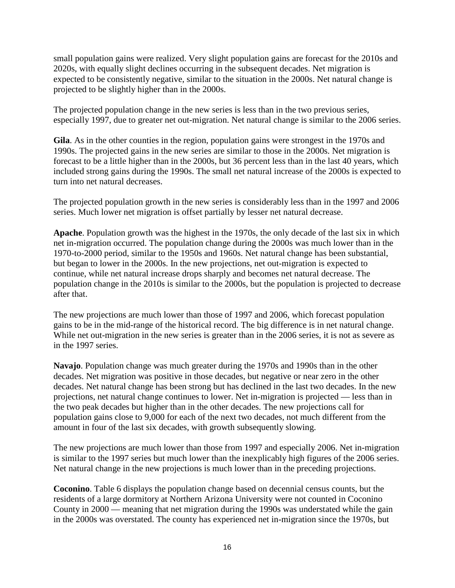small population gains were realized. Very slight population gains are forecast for the 2010s and 2020s, with equally slight declines occurring in the subsequent decades. Net migration is expected to be consistently negative, similar to the situation in the 2000s. Net natural change is projected to be slightly higher than in the 2000s.

The projected population change in the new series is less than in the two previous series, especially 1997, due to greater net out-migration. Net natural change is similar to the 2006 series.

**Gila**. As in the other counties in the region, population gains were strongest in the 1970s and 1990s. The projected gains in the new series are similar to those in the 2000s. Net migration is forecast to be a little higher than in the 2000s, but 36 percent less than in the last 40 years, which included strong gains during the 1990s. The small net natural increase of the 2000s is expected to turn into net natural decreases.

The projected population growth in the new series is considerably less than in the 1997 and 2006 series. Much lower net migration is offset partially by lesser net natural decrease.

**Apache**. Population growth was the highest in the 1970s, the only decade of the last six in which net in-migration occurred. The population change during the 2000s was much lower than in the 1970-to-2000 period, similar to the 1950s and 1960s. Net natural change has been substantial, but began to lower in the 2000s. In the new projections, net out-migration is expected to continue, while net natural increase drops sharply and becomes net natural decrease. The population change in the 2010s is similar to the 2000s, but the population is projected to decrease after that.

The new projections are much lower than those of 1997 and 2006, which forecast population gains to be in the mid-range of the historical record. The big difference is in net natural change. While net out-migration in the new series is greater than in the 2006 series, it is not as severe as in the 1997 series.

**Navajo**. Population change was much greater during the 1970s and 1990s than in the other decades. Net migration was positive in those decades, but negative or near zero in the other decades. Net natural change has been strong but has declined in the last two decades. In the new projections, net natural change continues to lower. Net in-migration is projected — less than in the two peak decades but higher than in the other decades. The new projections call for population gains close to 9,000 for each of the next two decades, not much different from the amount in four of the last six decades, with growth subsequently slowing.

The new projections are much lower than those from 1997 and especially 2006. Net in-migration is similar to the 1997 series but much lower than the inexplicably high figures of the 2006 series. Net natural change in the new projections is much lower than in the preceding projections.

**Coconino**. Table 6 displays the population change based on decennial census counts, but the residents of a large dormitory at Northern Arizona University were not counted in Coconino County in 2000 — meaning that net migration during the 1990s was understated while the gain in the 2000s was overstated. The county has experienced net in-migration since the 1970s, but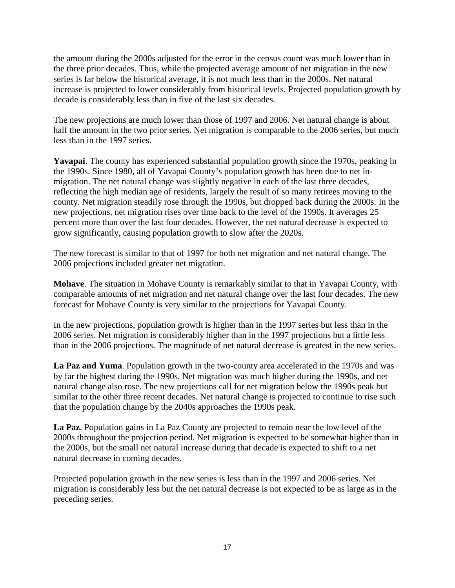the amount during the 2000s adjusted for the error in the census count was much lower than in the three prior decades. Thus, while the projected average amount of net migration in the new series is far below the historical average, it is not much less than in the 2000s. Net natural increase is projected to lower considerably from historical levels. Projected population growth by decade is considerably less than in five of the last six decades.

The new projections are much lower than those of 1997 and 2006. Net natural change is about half the amount in the two prior series. Net migration is comparable to the 2006 series, but much less than in the 1997 series.

**Yavapai**. The county has experienced substantial population growth since the 1970s, peaking in the 1990s. Since 1980, all of Yavapai County's population growth has been due to net inmigration. The net natural change was slightly negative in each of the last three decades, reflecting the high median age of residents, largely the result of so many retirees moving to the county. Net migration steadily rose through the 1990s, but dropped back during the 2000s. In the new projections, net migration rises over time back to the level of the 1990s. It averages 25 percent more than over the last four decades. However, the net natural decrease is expected to grow significantly, causing population growth to slow after the 2020s.

The new forecast is similar to that of 1997 for both net migration and net natural change. The 2006 projections included greater net migration.

**Mohave**. The situation in Mohave County is remarkably similar to that in Yavapai County, with comparable amounts of net migration and net natural change over the last four decades. The new forecast for Mohave County is very similar to the projections for Yavapai County.

In the new projections, population growth is higher than in the 1997 series but less than in the 2006 series. Net migration is considerably higher than in the 1997 projections but a little less than in the 2006 projections. The magnitude of net natural decrease is greatest in the new series.

**La Paz and Yuma**. Population growth in the two-county area accelerated in the 1970s and was by far the highest during the 1990s. Net migration was much higher during the 1990s, and net natural change also rose. The new projections call for net migration below the 1990s peak but similar to the other three recent decades. Net natural change is projected to continue to rise such that the population change by the 2040s approaches the 1990s peak.

**La Paz**. Population gains in La Paz County are projected to remain near the low level of the 2000s throughout the projection period. Net migration is expected to be somewhat higher than in the 2000s, but the small net natural increase during that decade is expected to shift to a net natural decrease in coming decades.

Projected population growth in the new series is less than in the 1997 and 2006 series. Net migration is considerably less but the net natural decrease is not expected to be as large as in the preceding series.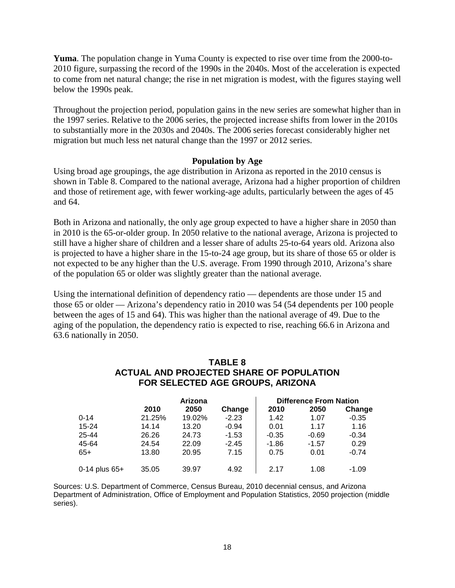**Yuma**. The population change in Yuma County is expected to rise over time from the 2000-to-2010 figure, surpassing the record of the 1990s in the 2040s. Most of the acceleration is expected to come from net natural change; the rise in net migration is modest, with the figures staying well below the 1990s peak.

Throughout the projection period, population gains in the new series are somewhat higher than in the 1997 series. Relative to the 2006 series, the projected increase shifts from lower in the 2010s to substantially more in the 2030s and 2040s. The 2006 series forecast considerably higher net migration but much less net natural change than the 1997 or 2012 series.

## **Population by Age**

Using broad age groupings, the age distribution in Arizona as reported in the 2010 census is shown in Table 8. Compared to the national average, Arizona had a higher proportion of children and those of retirement age, with fewer working-age adults, particularly between the ages of 45 and 64.

Both in Arizona and nationally, the only age group expected to have a higher share in 2050 than in 2010 is the 65-or-older group. In 2050 relative to the national average, Arizona is projected to still have a higher share of children and a lesser share of adults 25-to-64 years old. Arizona also is projected to have a higher share in the 15-to-24 age group, but its share of those 65 or older is not expected to be any higher than the U.S. average. From 1990 through 2010, Arizona's share of the population 65 or older was slightly greater than the national average.

Using the international definition of dependency ratio — dependents are those under 15 and those 65 or older — Arizona's dependency ratio in 2010 was 54 (54 dependents per 100 people between the ages of 15 and 64). This was higher than the national average of 49. Due to the aging of the population, the dependency ratio is expected to rise, reaching 66.6 in Arizona and 63.6 nationally in 2050.

## **TABLE 8 ACTUAL AND PROJECTED SHARE OF POPULATION FOR SELECTED AGE GROUPS, ARIZONA**

|                 | Arizona |        |         | <b>Difference From Nation</b> |         |         |  |
|-----------------|---------|--------|---------|-------------------------------|---------|---------|--|
|                 | 2010    | 2050   | Change  | 2010                          | 2050    | Change  |  |
| $0 - 14$        | 21.25%  | 19.02% | $-2.23$ | 1.42                          | 1.07    | $-0.35$ |  |
| $15 - 24$       | 14.14   | 13.20  | $-0.94$ | 0.01                          | 1.17    | 1.16    |  |
| 25-44           | 26.26   | 24.73  | $-1.53$ | $-0.35$                       | $-0.69$ | $-0.34$ |  |
| 45-64           | 24.54   | 22.09  | $-2.45$ | $-1.86$                       | $-1.57$ | 0.29    |  |
| $65+$           | 13.80   | 20.95  | 7.15    | 0.75                          | 0.01    | $-0.74$ |  |
| 0-14 plus $65+$ | 35.05   | 39.97  | 4.92    | 2.17                          | 1.08    | $-1.09$ |  |

Sources: U.S. Department of Commerce, Census Bureau, 2010 decennial census, and Arizona Department of Administration, Office of Employment and Population Statistics, 2050 projection (middle series).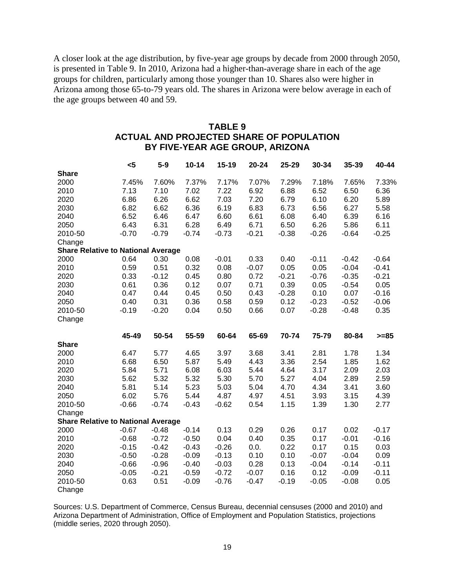A closer look at the age distribution, by five-year age groups by decade from 2000 through 2050, is presented in Table 9. In 2010, Arizona had a higher-than-average share in each of the age groups for children, particularly among those younger than 10. Shares also were higher in Arizona among those 65-to-79 years old. The shares in Arizona were below average in each of the age groups between 40 and 59.

## **TABLE 9 ACTUAL AND PROJECTED SHARE OF POPULATION BY FIVE-YEAR AGE GROUP, ARIZONA**

|                                           | $\leq 5$ | $5-9$   | $10 - 14$ | 15-19   | $20 - 24$ | 25-29   | 30-34   | 35-39   | 40-44   |
|-------------------------------------------|----------|---------|-----------|---------|-----------|---------|---------|---------|---------|
| <b>Share</b>                              |          |         |           |         |           |         |         |         |         |
| 2000                                      | 7.45%    | 7.60%   | 7.37%     | 7.17%   | 7.07%     | 7.29%   | 7.18%   | 7.65%   | 7.33%   |
| 2010                                      | 7.13     | 7.10    | 7.02      | 7.22    | 6.92      | 6.88    | 6.52    | 6.50    | 6.36    |
| 2020                                      | 6.86     | 6.26    | 6.62      | 7.03    | 7.20      | 6.79    | 6.10    | 6.20    | 5.89    |
| 2030                                      | 6.82     | 6.62    | 6.36      | 6.19    | 6.83      | 6.73    | 6.56    | 6.27    | 5.58    |
| 2040                                      | 6.52     | 6.46    | 6.47      | 6.60    | 6.61      | 6.08    | 6.40    | 6.39    | 6.16    |
| 2050                                      | 6.43     | 6.31    | 6.28      | 6.49    | 6.71      | 6.50    | 6.26    | 5.86    | 6.11    |
| 2010-50                                   | $-0.70$  | $-0.79$ | $-0.74$   | $-0.73$ | $-0.21$   | $-0.38$ | $-0.26$ | $-0.64$ | $-0.25$ |
| Change                                    |          |         |           |         |           |         |         |         |         |
| <b>Share Relative to National Average</b> |          |         |           |         |           |         |         |         |         |
| 2000                                      | 0.64     | 0.30    | 0.08      | $-0.01$ | 0.33      | 0.40    | $-0.11$ | $-0.42$ | $-0.64$ |
| 2010                                      | 0.59     | 0.51    | 0.32      | 0.08    | $-0.07$   | 0.05    | 0.05    | $-0.04$ | $-0.41$ |
| 2020                                      | 0.33     | $-0.12$ | 0.45      | 0.80    | 0.72      | $-0.21$ | $-0.76$ | $-0.35$ | $-0.21$ |
| 2030                                      | 0.61     | 0.36    | 0.12      | 0.07    | 0.71      | 0.39    | 0.05    | $-0.54$ | 0.05    |
| 2040                                      | 0.47     | 0.44    | 0.45      | 0.50    | 0.43      | $-0.28$ | 0.10    | 0.07    | $-0.16$ |
| 2050                                      | 0.40     | 0.31    | 0.36      | 0.58    | 0.59      | 0.12    | $-0.23$ | $-0.52$ | $-0.06$ |
| 2010-50                                   | $-0.19$  | $-0.20$ | 0.04      | 0.50    | 0.66      | 0.07    | $-0.28$ | $-0.48$ | 0.35    |
| Change                                    |          |         |           |         |           |         |         |         |         |
|                                           | 45-49    | 50-54   | 55-59     | 60-64   | 65-69     | 70-74   | 75-79   | 80-84   | $>= 85$ |
| <b>Share</b>                              |          |         |           |         |           |         |         |         |         |
| 2000                                      | 6.47     | 5.77    | 4.65      | 3.97    | 3.68      | 3.41    | 2.81    | 1.78    | 1.34    |
| 2010                                      | 6.68     | 6.50    | 5.87      | 5.49    | 4.43      | 3.36    | 2.54    | 1.85    | 1.62    |
| 2020                                      | 5.84     | 5.71    | 6.08      | 6.03    | 5.44      | 4.64    | 3.17    | 2.09    | 2.03    |
| 2030                                      | 5.62     | 5.32    | 5.32      | 5.30    | 5.70      | 5.27    | 4.04    | 2.89    | 2.59    |
| 2040                                      | 5.81     | 5.14    | 5.23      | 5.03    | 5.04      | 4.70    | 4.34    | 3.41    | 3.60    |
| 2050                                      | 6.02     | 5.76    | 5.44      | 4.87    | 4.97      | 4.51    | 3.93    | 3.15    | 4.39    |
| 2010-50                                   | $-0.66$  | $-0.74$ | $-0.43$   | $-0.62$ | 0.54      | 1.15    | 1.39    | 1.30    | 2.77    |
| Change                                    |          |         |           |         |           |         |         |         |         |
| <b>Share Relative to National Average</b> |          |         |           |         |           |         |         |         |         |
|                                           |          |         |           |         |           |         |         |         |         |
| 2000                                      | $-0.67$  | $-0.48$ | $-0.14$   | 0.13    | 0.29      | 0.26    | 0.17    | 0.02    | $-0.17$ |
| 2010                                      | $-0.68$  | $-0.72$ | $-0.50$   | 0.04    | 0.40      | 0.35    | 0.17    | $-0.01$ | $-0.16$ |
| 2020                                      | $-0.15$  | $-0.42$ | $-0.43$   | $-0.26$ | 0.0.      | 0.22    | 0.17    | 0.15    | 0.03    |
| 2030                                      | $-0.50$  | $-0.28$ | $-0.09$   | $-0.13$ | 0.10      | 0.10    | $-0.07$ | $-0.04$ | 0.09    |
| 2040                                      | $-0.66$  | $-0.96$ | $-0.40$   | $-0.03$ | 0.28      | 0.13    | $-0.04$ | $-0.14$ | $-0.11$ |
| 2050                                      | $-0.05$  | $-0.21$ | $-0.59$   | $-0.72$ | $-0.07$   | 0.16    | 0.12    | $-0.09$ | $-0.11$ |
| 2010-50                                   | 0.63     | 0.51    | $-0.09$   | $-0.76$ | $-0.47$   | $-0.19$ | $-0.05$ | $-0.08$ | 0.05    |

Sources: U.S. Department of Commerce, Census Bureau, decennial censuses (2000 and 2010) and Arizona Department of Administration, Office of Employment and Population Statistics, projections (middle series, 2020 through 2050).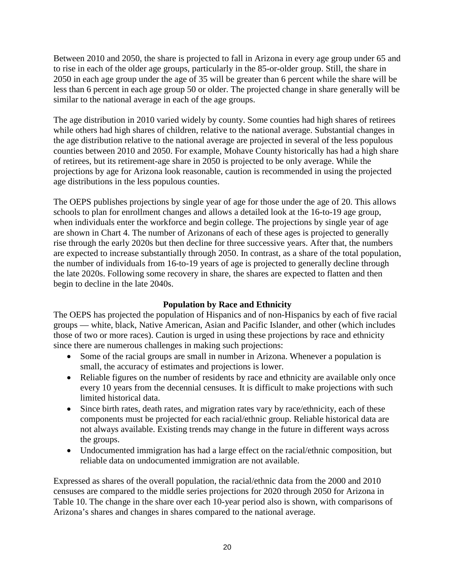Between 2010 and 2050, the share is projected to fall in Arizona in every age group under 65 and to rise in each of the older age groups, particularly in the 85-or-older group. Still, the share in 2050 in each age group under the age of 35 will be greater than 6 percent while the share will be less than 6 percent in each age group 50 or older. The projected change in share generally will be similar to the national average in each of the age groups.

The age distribution in 2010 varied widely by county. Some counties had high shares of retirees while others had high shares of children, relative to the national average. Substantial changes in the age distribution relative to the national average are projected in several of the less populous counties between 2010 and 2050. For example, Mohave County historically has had a high share of retirees, but its retirement-age share in 2050 is projected to be only average. While the projections by age for Arizona look reasonable, caution is recommended in using the projected age distributions in the less populous counties.

The OEPS publishes projections by single year of age for those under the age of 20. This allows schools to plan for enrollment changes and allows a detailed look at the 16-to-19 age group, when individuals enter the workforce and begin college. The projections by single year of age are shown in Chart 4. The number of Arizonans of each of these ages is projected to generally rise through the early 2020s but then decline for three successive years. After that, the numbers are expected to increase substantially through 2050. In contrast, as a share of the total population, the number of individuals from 16-to-19 years of age is projected to generally decline through the late 2020s. Following some recovery in share, the shares are expected to flatten and then begin to decline in the late 2040s.

## **Population by Race and Ethnicity**

The OEPS has projected the population of Hispanics and of non-Hispanics by each of five racial groups — white, black, Native American, Asian and Pacific Islander, and other (which includes those of two or more races). Caution is urged in using these projections by race and ethnicity since there are numerous challenges in making such projections:

- Some of the racial groups are small in number in Arizona. Whenever a population is small, the accuracy of estimates and projections is lower.
- Reliable figures on the number of residents by race and ethnicity are available only once every 10 years from the decennial censuses. It is difficult to make projections with such limited historical data.
- Since birth rates, death rates, and migration rates vary by race/ethnicity, each of these components must be projected for each racial/ethnic group. Reliable historical data are not always available. Existing trends may change in the future in different ways across the groups.
- Undocumented immigration has had a large effect on the racial/ethnic composition, but reliable data on undocumented immigration are not available.

Expressed as shares of the overall population, the racial/ethnic data from the 2000 and 2010 censuses are compared to the middle series projections for 2020 through 2050 for Arizona in Table 10. The change in the share over each 10-year period also is shown, with comparisons of Arizona's shares and changes in shares compared to the national average.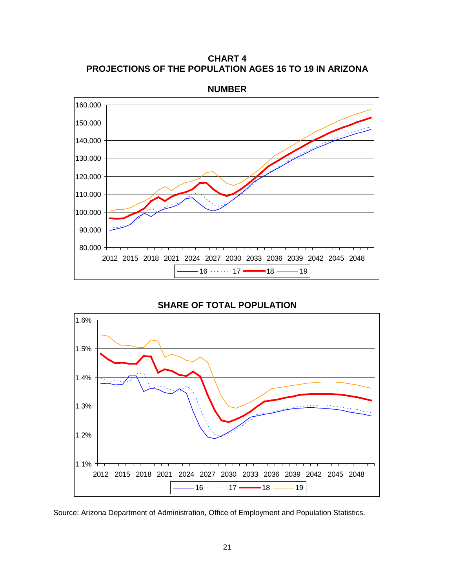**CHART 4 PROJECTIONS OF THE POPULATION AGES 16 TO 19 IN ARIZONA**



**NUMBER**

**SHARE OF TOTAL POPULATION**



Source: Arizona Department of Administration, Office of Employment and Population Statistics.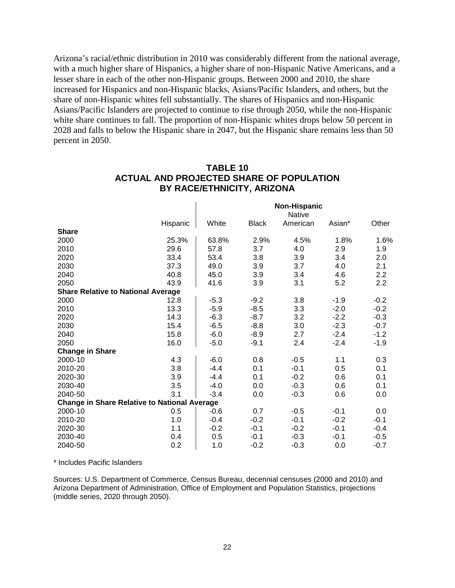Arizona's racial/ethnic distribution in 2010 was considerably different from the national average, with a much higher share of Hispanics, a higher share of non-Hispanic Native Americans, and a lesser share in each of the other non-Hispanic groups. Between 2000 and 2010, the share increased for Hispanics and non-Hispanic blacks, Asians/Pacific Islanders, and others, but the share of non-Hispanic whites fell substantially. The shares of Hispanics and non-Hispanic Asians/Pacific Islanders are projected to continue to rise through 2050, while the non-Hispanic white share continues to fall. The proportion of non-Hispanic whites drops below 50 percent in 2028 and falls to below the Hispanic share in 2047, but the Hispanic share remains less than 50 percent in 2050.

|                                                     |          | <b>Non-Hispanic</b><br><b>Native</b> |              |          |        |        |  |
|-----------------------------------------------------|----------|--------------------------------------|--------------|----------|--------|--------|--|
|                                                     | Hispanic | White                                | <b>Black</b> | American | Asian* | Other  |  |
| <b>Share</b>                                        |          |                                      |              |          |        |        |  |
| 2000                                                | 25.3%    | 63.8%                                | 2.9%         | 4.5%     | 1.8%   | 1.6%   |  |
| 2010                                                | 29.6     | 57.8                                 | 3.7          | 4.0      | 2.9    | 1.9    |  |
| 2020                                                | 33.4     | 53.4                                 | 3.8          | 3.9      | 3.4    | 2.0    |  |
| 2030                                                | 37.3     | 49.0                                 | 3.9          | 3.7      | 4.0    | 2.1    |  |
| 2040                                                | 40.8     | 45.0                                 | 3.9          | 3.4      | 4.6    | 2.2    |  |
| 2050                                                | 43.9     | 41.6                                 | 3.9          | 3.1      | 5.2    | 2.2    |  |
| <b>Share Relative to National Average</b>           |          |                                      |              |          |        |        |  |
| 2000                                                | 12.8     | $-5.3$                               | $-9.2$       | 3.8      | $-1.9$ | $-0.2$ |  |
| 2010                                                | 13.3     | $-5.9$                               | $-8.5$       | 3.3      | $-2.0$ | $-0.2$ |  |
| 2020                                                | 14.3     | $-6.3$                               | $-8.7$       | 3.2      | $-2.2$ | $-0.3$ |  |
| 2030                                                | 15.4     | $-6.5$                               | $-8.8$       | 3.0      | $-2.3$ | $-0.7$ |  |
| 2040                                                | 15.8     | $-6.0$                               | $-8.9$       | 2.7      | $-2.4$ | $-1.2$ |  |
| 2050                                                | 16.0     | $-5.0$                               | $-9.1$       | 2.4      | $-2.4$ | $-1.9$ |  |
| <b>Change in Share</b>                              |          |                                      |              |          |        |        |  |
| 2000-10                                             | 4.3      | $-6.0$                               | 0.8          | $-0.5$   | 1.1    | 0.3    |  |
| 2010-20                                             | 3.8      | $-4.4$                               | 0.1          | $-0.1$   | 0.5    | 0.1    |  |
| 2020-30                                             | 3.9      | $-4.4$                               | 0.1          | $-0.2$   | 0.6    | 0.1    |  |
| 2030-40                                             | 3.5      | $-4.0$                               | 0.0          | $-0.3$   | 0.6    | 0.1    |  |
| 2040-50                                             | 3.1      | $-3.4$                               | 0.0          | $-0.3$   | 0.6    | 0.0    |  |
| <b>Change in Share Relative to National Average</b> |          |                                      |              |          |        |        |  |
| 2000-10                                             | 0.5      | $-0.6$                               | 0.7          | $-0.5$   | $-0.1$ | 0.0    |  |
| 2010-20                                             | 1.0      | $-0.4$                               | $-0.2$       | $-0.1$   | $-0.2$ | $-0.1$ |  |
| 2020-30                                             | 1.1      | $-0.2$                               | $-0.1$       | $-0.2$   | $-0.1$ | $-0.4$ |  |
| 2030-40                                             | 0.4      | 0.5                                  | $-0.1$       | $-0.3$   | $-0.1$ | $-0.5$ |  |
| 2040-50                                             | 0.2      | 1.0                                  | $-0.2$       | $-0.3$   | 0.0    | $-0.7$ |  |

## **TABLE 10 ACTUAL AND PROJECTED SHARE OF POPULATION BY RACE/ETHNICITY, ARIZONA**

\* Includes Pacific Islanders

Sources: U.S. Department of Commerce, Census Bureau, decennial censuses (2000 and 2010) and Arizona Department of Administration, Office of Employment and Population Statistics, projections (middle series, 2020 through 2050).